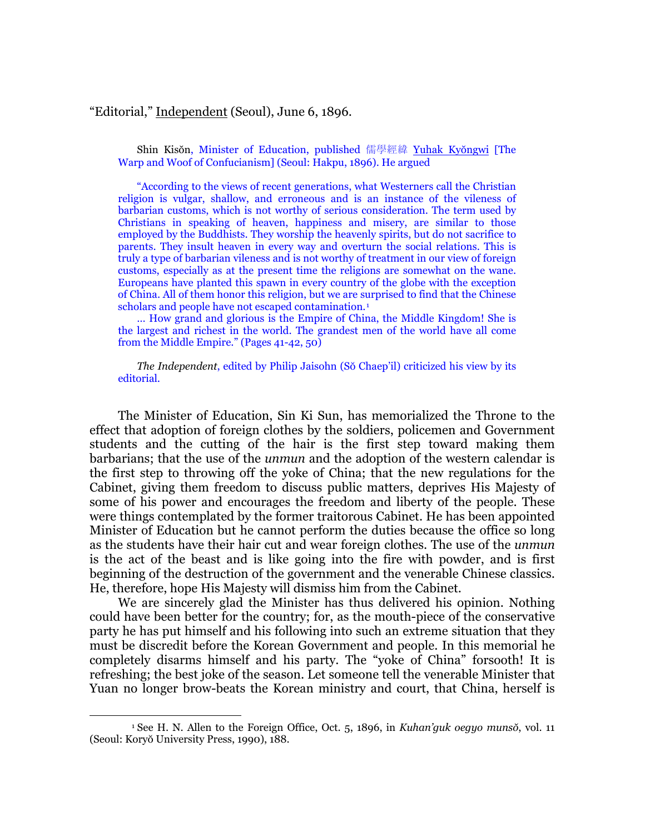## "Editorial," Independent (Seoul), June 6, 1896.

Shin Kisŏn, Minister of Education, published 儒學經緯 Yuhak Kyŏngwi [The Warp and Woof of Confucianism] (Seoul: Hakpu, 1896). He argued

"According to the views of recent generations, what Westerners call the Christian religion is vulgar, shallow, and erroneous and is an instance of the vileness of barbarian customs, which is not worthy of serious consideration. The term used by Christians in speaking of heaven, happiness and misery, are similar to those employed by the Buddhists. They worship the heavenly spirits, but do not sacrifice to parents. They insult heaven in every way and overturn the social relations. This is truly a type of barbarian vileness and is not worthy of treatment in our view of foreign customs, especially as at the present time the religions are somewhat on the wane. Europeans have planted this spawn in every country of the globe with the exception of China. All of them honor this religion, but we are surprised to find that the Chinese scholars and people have not escaped contamination.<sup>[1](#page-0-0)</sup>

… How grand and glorious is the Empire of China, the Middle Kingdom! She is the largest and richest in the world. The grandest men of the world have all come from the Middle Empire." (Pages 41-42, 50)

*The Independent*, edited by Philip Jaisohn (Sŏ Chaep'il) criticized his view by its editorial.

The Minister of Education, Sin Ki Sun, has memorialized the Throne to the effect that adoption of foreign clothes by the soldiers, policemen and Government students and the cutting of the hair is the first step toward making them barbarians; that the use of the *unmun* and the adoption of the western calendar is the first step to throwing off the yoke of China; that the new regulations for the Cabinet, giving them freedom to discuss public matters, deprives His Majesty of some of his power and encourages the freedom and liberty of the people. These were things contemplated by the former traitorous Cabinet. He has been appointed Minister of Education but he cannot perform the duties because the office so long as the students have their hair cut and wear foreign clothes. The use of the *unmun* is the act of the beast and is like going into the fire with powder, and is first beginning of the destruction of the government and the venerable Chinese classics. He, therefore, hope His Majesty will dismiss him from the Cabinet.

We are sincerely glad the Minister has thus delivered his opinion. Nothing could have been better for the country; for, as the mouth-piece of the conservative party he has put himself and his following into such an extreme situation that they must be discredit before the Korean Government and people. In this memorial he completely disarms himself and his party. The "yoke of China" forsooth! It is refreshing; the best joke of the season. Let someone tell the venerable Minister that Yuan no longer brow-beats the Korean ministry and court, that China, herself is

1

<span id="page-0-0"></span><sup>1</sup> See H. N. Allen to the Foreign Office, Oct. 5, 1896, in *Kuhan'guk oegyo munsŏ*, vol. 11 (Seoul: Koryŏ University Press, 1990), 188.